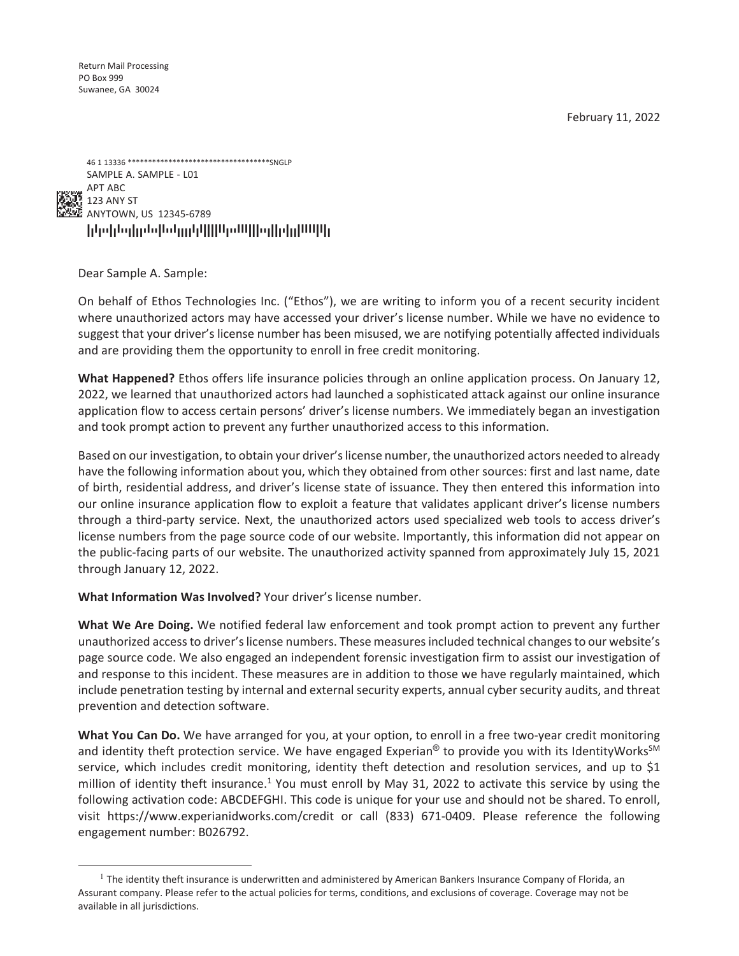February 11, 2022

FDADTTFDATTDFDDTATTFATTADDDDADAFFFFAADTTAAAFFFTTDFFDTFDDFAAAAFAFD 46 1 13336 \*\*\*\*\*\*\*\*\*\*\*\*\*\*\*\*\*\*\*\*\*\*\*\*\*\*\*\*\*\*\*\*\*\*\*SNGLP SAMPLE A. SAMPLE - L01 APT ABC  $\frac{1}{2}$  123 ANY ST ANYTOWN, US 12345-6789

Dear Sample A. Sample:

On behalf of Ethos Technologies Inc. ("Ethos"), we are writing to inform you of a recent security incident where unauthorized actors may have accessed your driver's license number. While we have no evidence to suggest that your driver's license number has been misused, we are notifying potentially affected individuals and are providing them the opportunity to enroll in free credit monitoring.

**What Happened?** Ethos offers life insurance policies through an online application process. On January 12, 2022, we learned that unauthorized actors had launched a sophisticated attack against our online insurance application flow to access certain persons' driver's license numbers. We immediately began an investigation and took prompt action to prevent any further unauthorized access to this information.

Based on our investigation, to obtain your driver's license number, the unauthorized actors needed to already have the following information about you, which they obtained from other sources: first and last name, date of birth, residential address, and driver's license state of issuance. They then entered this information into our online insurance application flow to exploit a feature that validates applicant driver's license numbers through a third-party service. Next, the unauthorized actors used specialized web tools to access driver's license numbers from the page source code of our website. Importantly, this information did not appear on the public-facing parts of our website. The unauthorized activity spanned from approximately July 15, 2021 through January 12, 2022.

**What Information Was Involved?** Your driver's license number.

**What We Are Doing.** We notified federal law enforcement and took prompt action to prevent any further unauthorized access to driver's license numbers. These measures included technical changes to our website's page source code. We also engaged an independent forensic investigation firm to assist our investigation of and response to this incident. These measures are in addition to those we have regularly maintained, which include penetration testing by internal and external security experts, annual cyber security audits, and threat prevention and detection software.

**What You Can Do.** We have arranged for you, at your option, to enroll in a free two-year credit monitoring and identity theft protection service. We have engaged Experian<sup>®</sup> to provide you with its IdentityWorks<sup>SM</sup> service, which includes credit monitoring, identity theft detection and resolution services, and up to \$1 million of identity theft insurance.<sup>1</sup> You must enroll by May 31, 2022 to activate this service by using the following activation code: ABCDEFGHI. This code is unique for your use and should not be shared. To enroll, visit https://www.experianidworks.com/credit or call (833) 671-0409. Please reference the following engagement number: B026792.

 $<sup>1</sup>$  The identity theft insurance is underwritten and administered by American Bankers Insurance Company of Florida, an</sup> Assurant company. Please refer to the actual policies for terms, conditions, and exclusions of coverage. Coverage may not be available in all jurisdictions.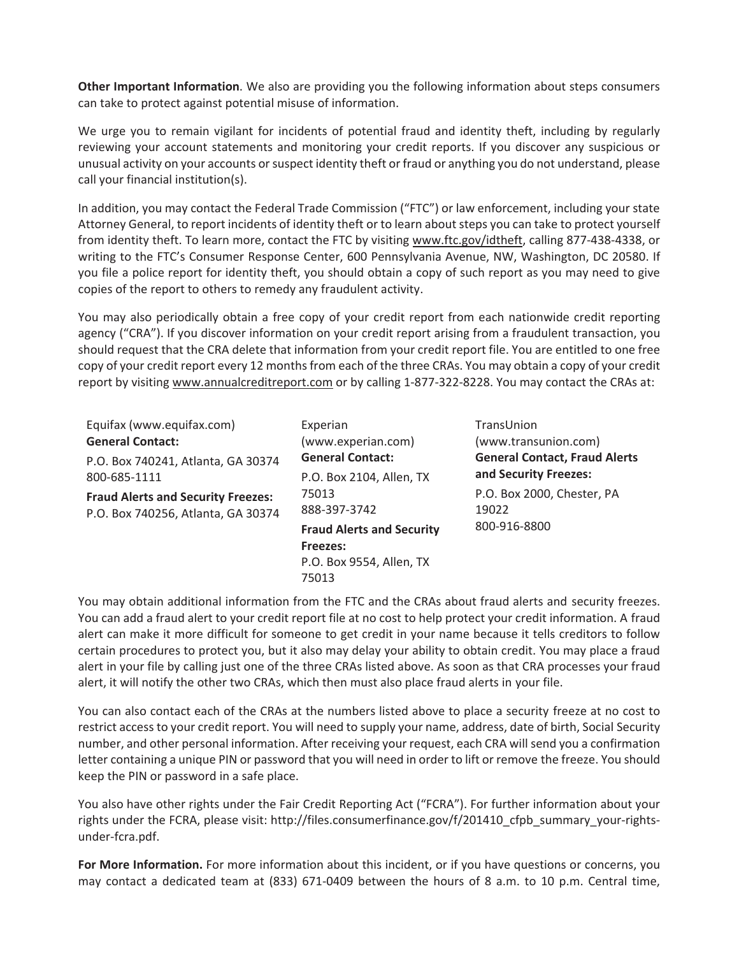**Other Important Information**. We also are providing you the following information about steps consumers can take to protect against potential misuse of information.

We urge you to remain vigilant for incidents of potential fraud and identity theft, including by regularly reviewing your account statements and monitoring your credit reports. If you discover any suspicious or unusual activity on your accounts or suspect identity theft or fraud or anything you do not understand, please call your financial institution(s).

In addition, you may contact the Federal Trade Commission ("FTC") or law enforcement, including your state Attorney General, to report incidents of identity theft or to learn about steps you can take to protect yourself from identity theft. To learn more, contact the FTC by visiting www.ftc.gov/idtheft, calling 877-438-4338, or writing to the FTC's Consumer Response Center, 600 Pennsylvania Avenue, NW, Washington, DC 20580. If you file a police report for identity theft, you should obtain a copy of such report as you may need to give copies of the report to others to remedy any fraudulent activity.

You may also periodically obtain a free copy of your credit report from each nationwide credit reporting agency ("CRA"). If you discover information on your credit report arising from a fraudulent transaction, you should request that the CRA delete that information from your credit report file. You are entitled to one free copy of your credit report every 12 months from each of the three CRAs. You may obtain a copy of your credit report by visiting www.annualcreditreport.com or by calling 1-877-322-8228. You may contact the CRAs at:

| Equifax (www.equifax.com)<br><b>General Contact:</b>                            | Experian<br>TransUnion<br>(www.experian.com)<br>(www.transunion.com)<br><b>General Contact:</b><br>and Security Freezes:<br>P.O. Box 2104, Allen, TX<br>P.O. Box 2000, Chester, PA<br>75013<br>888-397-3742<br>19022 | <b>General Contact, Fraud Alerts</b> |
|---------------------------------------------------------------------------------|----------------------------------------------------------------------------------------------------------------------------------------------------------------------------------------------------------------------|--------------------------------------|
| P.O. Box 740241, Atlanta, GA 30374<br>800-685-1111                              |                                                                                                                                                                                                                      |                                      |
| <b>Fraud Alerts and Security Freezes:</b><br>P.O. Box 740256, Atlanta, GA 30374 |                                                                                                                                                                                                                      |                                      |
|                                                                                 | <b>Fraud Alerts and Security</b><br><b>Freezes:</b><br>P.O. Box 9554, Allen, TX<br>75013                                                                                                                             | 800-916-8800                         |

You may obtain additional information from the FTC and the CRAs about fraud alerts and security freezes. You can add a fraud alert to your credit report file at no cost to help protect your credit information. A fraud alert can make it more difficult for someone to get credit in your name because it tells creditors to follow certain procedures to protect you, but it also may delay your ability to obtain credit. You may place a fraud alert in your file by calling just one of the three CRAs listed above. As soon as that CRA processes your fraud alert, it will notify the other two CRAs, which then must also place fraud alerts in your file.

You can also contact each of the CRAs at the numbers listed above to place a security freeze at no cost to restrict access to your credit report. You will need to supply your name, address, date of birth, Social Security number, and other personal information. After receiving your request, each CRA will send you a confirmation letter containing a unique PIN or password that you will need in order to lift or remove the freeze. You should keep the PIN or password in a safe place.

You also have other rights under the Fair Credit Reporting Act ("FCRA"). For further information about your rights under the FCRA, please visit: http://files.consumerfinance.gov/f/201410\_cfpb\_summary\_your-rightsunder-fcra.pdf.

**For More Information.** For more information about this incident, or if you have questions or concerns, you may contact a dedicated team at (833) 671-0409 between the hours of 8 a.m. to 10 p.m. Central time,